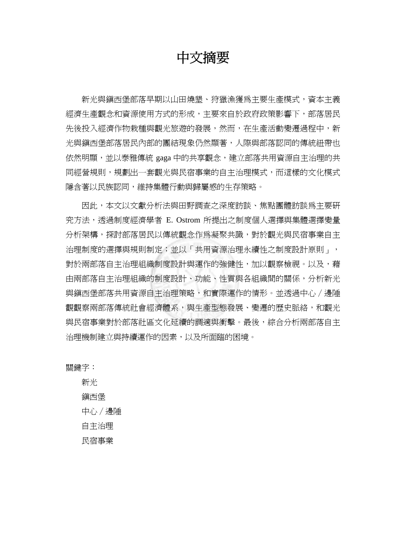## 中文摘要

新光與鎮西堡部落早期以山田燒墾、狩獵漁獲為主要生產模式,資本主義 經濟生產觀念和資源使用方式的形成,主要來自於政府政策影響下,部落居民 先後投入經濟作物栽種與觀光旅遊的發展,然而,在生產活動變遷過程中,新 光與鎮西堡部落居民內部的團結現象仍然顯著,人際與部落認同的傳統紐帶也 依然明顯,並以泰雅傳統 gaga 中的共享觀念,建立部落共用資源自主治理的共 同經營規則,規劃出一套觀光與民宿事業的自主治理模式,而這樣的文化模式 隱含著以民族認同,維持集體行動與歸屬感的生存策略。

因此,本文以文獻分析法與田野調查之深度訪談、焦點團體訪談為主要研 究方法,透過制度經濟學者 E. Ostrom 所提出之制度個人選擇與集體選擇變量 分析架構,探討部落居民以傳統觀念作為凝聚共識,對於觀光與民宿事業自主 治理制度的選擇與規則制定;並以「共用資源治理永續性之制度設計原則」, 對於兩部落自主治理組織制度設計與運作的強健性,加以觀察檢視。以及,藉 由兩部落自主治理組織的制度設計、功能、性質與各組織間的關係,分析新光 與鎮西堡部落共用資源自主治理策略,和實際運作的情形。並透過中心∕邊陲 觀觀察兩部落傳統社會經濟體系,與生產型態發展、變遷的歷史脈絡,和觀光 與民宿事業對於部落社區文化延續的調適與衝擊。最後,綜合分析兩部落自主 治理機制建立與持續運作的因素,以及所面臨的困境。

關鍵字:

新光 鎮西堡 中心∕邊陲 自主治理 民宿事業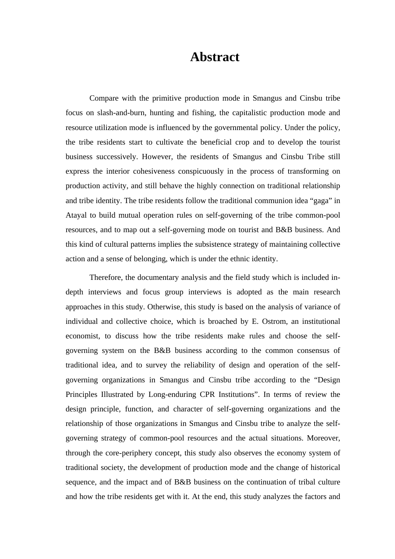## **Abstract**

Compare with the primitive production mode in Smangus and Cinsbu tribe focus on slash-and-burn, hunting and fishing, the capitalistic production mode and resource utilization mode is influenced by the governmental policy. Under the policy, the tribe residents start to cultivate the beneficial crop and to develop the tourist business successively. However, the residents of Smangus and Cinsbu Tribe still express the interior cohesiveness conspicuously in the process of transforming on production activity, and still behave the highly connection on traditional relationship and tribe identity. The tribe residents follow the traditional communion idea "gaga" in Atayal to build mutual operation rules on self-governing of the tribe common-pool resources, and to map out a self-governing mode on tourist and B&B business. And this kind of cultural patterns implies the subsistence strategy of maintaining collective action and a sense of belonging, which is under the ethnic identity.

Therefore, the documentary analysis and the field study which is included indepth interviews and focus group interviews is adopted as the main research approaches in this study. Otherwise, this study is based on the analysis of variance of individual and collective choice, which is broached by E. Ostrom, an institutional economist, to discuss how the tribe residents make rules and choose the selfgoverning system on the B&B business according to the common consensus of traditional idea, and to survey the reliability of design and operation of the selfgoverning organizations in Smangus and Cinsbu tribe according to the "Design Principles Illustrated by Long-enduring CPR Institutions". In terms of review the design principle, function, and character of self-governing organizations and the relationship of those organizations in Smangus and Cinsbu tribe to analyze the selfgoverning strategy of common-pool resources and the actual situations. Moreover, through the core-periphery concept, this study also observes the economy system of traditional society, the development of production mode and the change of historical sequence, and the impact and of B&B business on the continuation of tribal culture and how the tribe residents get with it. At the end, this study analyzes the factors and